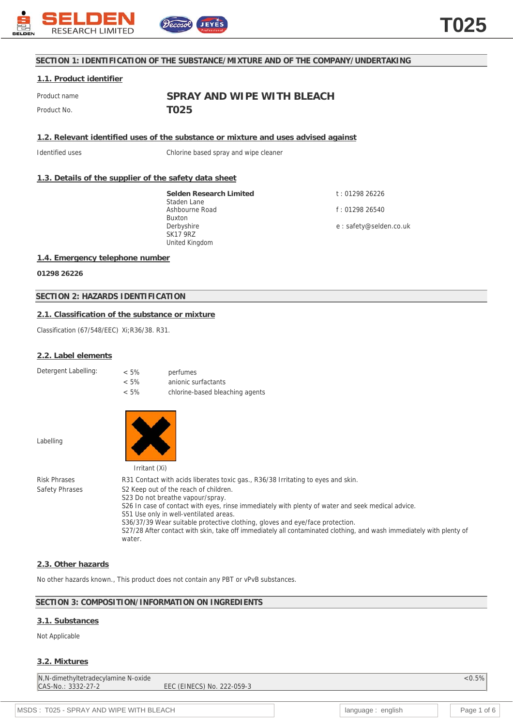

## **SECTION 1: IDENTIFICATION OF THE SUBSTANCE/MIXTURE AND OF THE COMPANY/UNDERTAKING**

## **1.1. Product identifier**

Product name **SPRAY AND WIPE WITH BLEACH** Product No. **TO25** 

**1.2. Relevant identified uses of the substance or mixture and uses advised against**

Identified uses Chlorine based spray and wipe cleaner

## **1.3. Details of the supplier of the safety data sheet**

**Selden Research Limited** Staden Lane Ashbourne Road Buxton Derbyshire SK17 9RZ United Kingdom

t : 01298 26226 f : 01298 26540

e : safety@selden.co.uk

### **1.4. Emergency telephone number**

**01298 26226**

## **SECTION 2: HAZARDS IDENTIFICATION**

### **2.1. Classification of the substance or mixture**

Classification (67/548/EEC) Xi;R36/38. R31.

### **2.2. Label elements**

Detergent Labelling:

| $< 5\%$ | perfumes                        |
|---------|---------------------------------|
| $< 5\%$ | anionic surfactants             |
| $< 5\%$ | chlorine-based bleaching agents |

Labelling



Risk Phrases R31 Contact with acids liberates toxic gas., R36/38 Irritating to eyes and skin. Safety Phrases S2 Keep out of the reach of children. S23 Do not breathe vapour/spray. S26 In case of contact with eyes, rinse immediately with plenty of water and seek medical advice. S51 Use only in well-ventilated areas. S36/37/39 Wear suitable protective clothing, gloves and eye/face protection. S27/28 After contact with skin, take off immediately all contaminated clothing, and wash immediately with plenty of water.

### **2.3. Other hazards**

No other hazards known., This product does not contain any PBT or vPvB substances.

### **SECTION 3: COMPOSITION/INFORMATION ON INGREDIENTS**

### **3.1. Substances**

Not Applicable

### **3.2. Mixtures**

N,N-dimethyltetradecylamine N-oxide <0.5% CAS-No.: 3332-27-2 EEC (EINECS) No. 222-059-3

MSDS : T025 - SPRAY AND WIPE WITH BLEACH language : english and page 1 of 6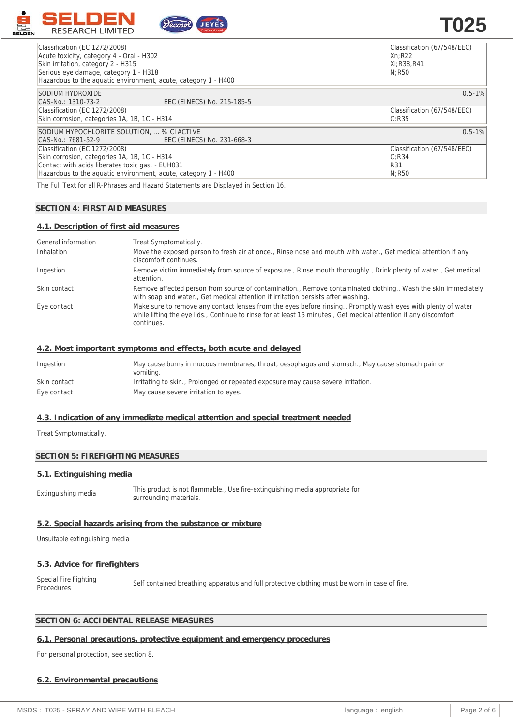

| Classification (EC 1272/2008)<br>Acute toxicity, category 4 - Oral - H302<br>Skin irritation, category 2 - H315<br>Serious eye damage, category 1 - H318<br>Hazardous to the aguatic environment, acute, category 1 - H400 | Classification (67/548/EEC)<br>Xn:R22<br>Xi: R38, R41<br>N:R50 |
|----------------------------------------------------------------------------------------------------------------------------------------------------------------------------------------------------------------------------|----------------------------------------------------------------|
|                                                                                                                                                                                                                            |                                                                |
| <b>SODIUM HYDROXIDE</b>                                                                                                                                                                                                    | $0.5 - 1\%$                                                    |
| EEC (EINECS) No. 215-185-5<br>CAS-No.: 1310-73-2                                                                                                                                                                           |                                                                |
| Classification (EC 1272/2008)                                                                                                                                                                                              | Classification (67/548/EEC)                                    |
| Skin corrosion, categories 1A, 1B, 1C - H314                                                                                                                                                                               | C:R35                                                          |
| SODIUM HYPOCHLORITE SOLUTION,  % CI ACTIVE                                                                                                                                                                                 | $0.5 - 1\%$                                                    |
| CAS-No.: 7681-52-9<br>EEC (EINECS) No. 231-668-3                                                                                                                                                                           |                                                                |
| Classification (EC 1272/2008)                                                                                                                                                                                              | Classification (67/548/EEC)                                    |
| Skin corrosion, categories 1A, 1B, 1C - H314                                                                                                                                                                               | C:R34                                                          |
| Contact with acids liberates toxic gas. - EUH031                                                                                                                                                                           | R31                                                            |
| Hazardous to the aguatic environment, acute, category 1 - H400                                                                                                                                                             | N:R50                                                          |
| The Full Text for all D Dhrases and Hazard Statements are Displayed in Section 16                                                                                                                                          |                                                                |

The Full Text for all R-Phrases and Hazard Statements are Displayed in Section 16.

## **SECTION 4: FIRST AID MEASURES**

## **4.1. Description of first aid measures**

| General information | Treat Symptomatically.                                                                                                                                                                                                                          |
|---------------------|-------------------------------------------------------------------------------------------------------------------------------------------------------------------------------------------------------------------------------------------------|
| Inhalation          | Move the exposed person to fresh air at once., Rinse nose and mouth with water., Get medical attention if any<br>discomfort continues.                                                                                                          |
| Ingestion           | Remove victim immediately from source of exposure., Rinse mouth thoroughly., Drink plenty of water., Get medical<br>attention.                                                                                                                  |
| Skin contact        | Remove affected person from source of contamination., Remove contaminated clothing., Wash the skin immediately<br>with soap and water., Get medical attention if irritation persists after washing.                                             |
| Eye contact         | Make sure to remove any contact lenses from the eyes before rinsing., Promptly wash eyes with plenty of water<br>while lifting the eye lids., Continue to rinse for at least 15 minutes., Get medical attention if any discomfort<br>continues. |

### **4.2. Most important symptoms and effects, both acute and delayed**

| Ingestion    | May cause burns in mucous membranes, throat, oesophagus and stomach., May cause stomach pain or<br>vomiting. |
|--------------|--------------------------------------------------------------------------------------------------------------|
| Skin contact | Irritating to skin., Prolonged or repeated exposure may cause severe irritation.                             |
| Eye contact  | May cause severe irritation to eyes.                                                                         |

### **4.3. Indication of any immediate medical attention and special treatment needed**

Treat Symptomatically.

## **SECTION 5: FIREFIGHTING MEASURES**

## **5.1. Extinguishing media**

Extinguishing media This product is not flammable., Use fire-extinguishing media appropriate for surrounding materials.

## **5.2. Special hazards arising from the substance or mixture**

Unsuitable extinguishing media

## **5.3. Advice for firefighters**

Special Fire Fighting Special Fire Fighting Self contained breathing apparatus and full protective clothing must be worn in case of fire.<br>Procedures

# **SECTION 6: ACCIDENTAL RELEASE MEASURES**

# **6.1. Personal precautions, protective equipment and emergency procedures**

For personal protection, see section 8.

#### **6.2. Environmental precautions**

| T025 - SPRAY AND WIPE WITH BLEACH<br>MSDS: |  | english<br>language |  | Page 2 of 6 |
|--------------------------------------------|--|---------------------|--|-------------|
|--------------------------------------------|--|---------------------|--|-------------|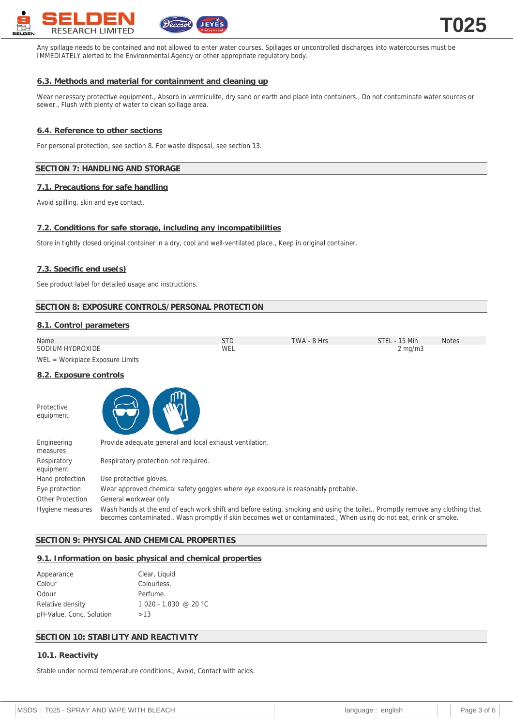

Any spillage needs to be contained and not allowed to enter water courses, Spillages or uncontrolled discharges into watercourses must be IMMEDIATELY alerted to the Environmental Agency or other appropriate regulatory body.

### **6.3. Methods and material for containment and cleaning up**

Wear necessary protective equipment., Absorb in vermiculite, dry sand or earth and place into containers., Do not contaminate water sources or sewer., Flush with plenty of water to clean spillage area.

### **6.4. Reference to other sections**

For personal protection, see section 8. For waste disposal, see section 13.

### **SECTION 7: HANDLING AND STORAGE**

#### **7.1. Precautions for safe handling**

Avoid spilling, skin and eye contact.

## **7.2. Conditions for safe storage, including any incompatibilities**

Store in tightly closed original container in a dry, cool and well-ventilated place., Keep in original container.

#### **7.3. Specific end use(s)**

See product label for detailed usage and instructions.

## **SECTION 8: EXPOSURE CONTROLS/PERSONAL PROTECTION**

#### **8.1. Control parameters**

| Name             | STD | TWA - 8 Hrs | STEL - 15 Min    | <b>Notes</b> |
|------------------|-----|-------------|------------------|--------------|
| SODIUM HYDROXIDE | WEL |             | $2 \text{ mg/m}$ |              |

WEL = Workplace Exposure Limits

# **8.2. Exposure controls**

**Protective** equipment



| Engineering<br>measures  | Provide adequate general and local exhaust ventilation.                                                                                                                                                                                           |
|--------------------------|---------------------------------------------------------------------------------------------------------------------------------------------------------------------------------------------------------------------------------------------------|
| Respiratory<br>equipment | Respiratory protection not required.                                                                                                                                                                                                              |
| Hand protection          | Use protective gloves.                                                                                                                                                                                                                            |
| Eye protection           | Wear approved chemical safety goggles where eye exposure is reasonably probable.                                                                                                                                                                  |
| Other Protection         | General workwear only                                                                                                                                                                                                                             |
| Hygiene measures         | Wash hands at the end of each work shift and before eating, smoking and using the toilet., Promptly remove any clothing that<br>becomes contaminated., Wash promptly if skin becomes wet or contaminated., When using do not eat, drink or smoke. |

### **SECTION 9: PHYSICAL AND CHEMICAL PROPERTIES**

#### **9.1. Information on basic physical and chemical properties**

| Appearance               | Clear, Liquid         |
|--------------------------|-----------------------|
| Colour                   | Colourless.           |
| Odour                    | Perfume.              |
| Relative density         | 1.020 - 1.030 @ 20 °C |
| pH-Value, Conc. Solution | >13                   |
|                          |                       |

## **SECTION 10: STABILITY AND REACTIVITY**

#### **10.1. Reactivity**

Stable under normal temperature conditions., Avoid, Contact with acids.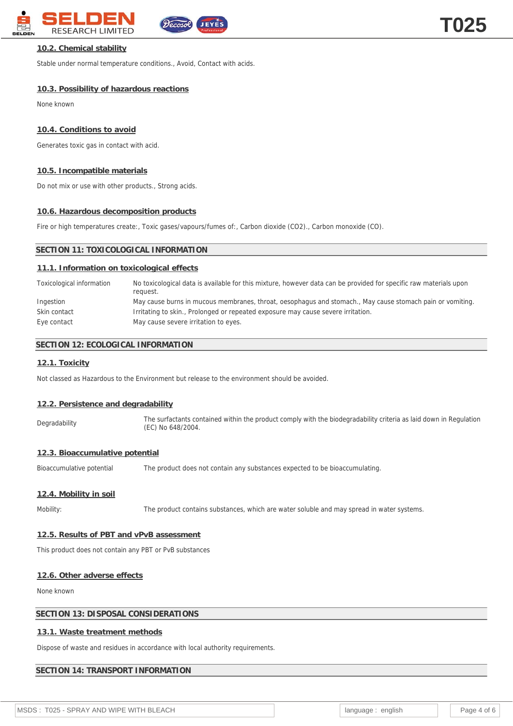

# **10.2. Chemical stability**

Stable under normal temperature conditions., Avoid, Contact with acids.

# **10.3. Possibility of hazardous reactions**

None known

# **10.4. Conditions to avoid**

Generates toxic gas in contact with acid.

# **10.5. Incompatible materials**

Do not mix or use with other products., Strong acids.

# **10.6. Hazardous decomposition products**

Fire or high temperatures create:, Toxic gases/vapours/fumes of:, Carbon dioxide (CO2)., Carbon monoxide (CO).

# **SECTION 11: TOXICOLOGICAL INFORMATION**

# **11.1. Information on toxicological effects**

| Toxicological information | No toxicological data is available for this mixture, however data can be provided for specific raw materials upon<br>request. |
|---------------------------|-------------------------------------------------------------------------------------------------------------------------------|
| Ingestion                 | May cause burns in mucous membranes, throat, oesophagus and stomach., May cause stomach pain or vomiting.                     |
| Skin contact              | Irritating to skin., Prolonged or repeated exposure may cause severe irritation.                                              |
| Eye contact               | May cause severe irritation to eyes.                                                                                          |

# **SECTION 12: ECOLOGICAL INFORMATION**

# **12.1. Toxicity**

Not classed as Hazardous to the Environment but release to the environment should be avoided.

# **12.2. Persistence and degradability**

Degradability The surfactants contained within the product comply with the biodegradability criteria as laid down in Regulation (EC) No 648/2004.

# **12.3. Bioaccumulative potential**

Bioaccumulative potential The product does not contain any substances expected to be bioaccumulating.

# **12.4. Mobility in soil**

Mobility: The product contains substances, which are water soluble and may spread in water systems.

# **12.5. Results of PBT and vPvB assessment**

This product does not contain any PBT or PvB substances

# **12.6. Other adverse effects**

None known

# **SECTION 13: DISPOSAL CONSIDERATIONS**

# **13.1. Waste treatment methods**

Dispose of waste and residues in accordance with local authority requirements.

# **SECTION 14: TRANSPORT INFORMATION**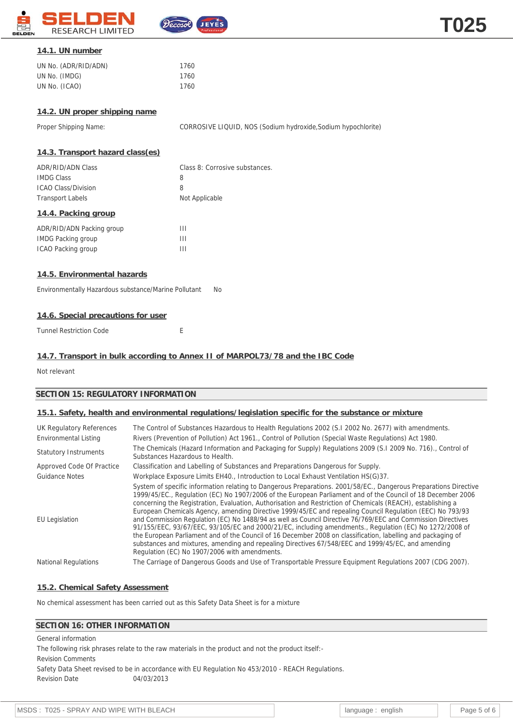

# **14.1. UN number**

| UN No. (ADR/RID/ADN) | 1760 |
|----------------------|------|
| UN No. (IMDG)        | 1760 |
| UN No. (ICAO)        | 1760 |

# **14.2. UN proper shipping name**

Proper Shipping Name: CORROSIVE LIQUID, NOS (Sodium hydroxide, Sodium hypochlorite)

### **14.3. Transport hazard class(es)**

| ADR/RID/ADN Class          | Class 8: Corrosive substances. |
|----------------------------|--------------------------------|
| <b>IMDG Class</b>          | 8                              |
| <b>ICAO Class/Division</b> | 8                              |
| <b>Transport Labels</b>    | Not Applicable                 |
| 14.4. Packing group        |                                |
| ADR/RID/ADN Packing group  | Ш                              |
| <b>IMDG Packing group</b>  | Ш                              |

## **14.5. Environmental hazards**

Environmentally Hazardous substance/Marine Pollutant No

# **14.6. Special precautions for user**

Tunnel Restriction Code **Exercise E** 

ICAO Packing group III

## **14.7. Transport in bulk according to Annex II of MARPOL73/78 and the IBC Code**

Not relevant

# **SECTION 15: REGULATORY INFORMATION**

## **15.1. Safety, health and environmental regulations/legislation specific for the substance or mixture**

| UK Regulatory References     | The Control of Substances Hazardous to Health Regulations 2002 (S.1 2002 No. 2677) with amendments.                                                                                                                                                                                                                                                                                                                                                                                                                                                                                                                                                                                                                                                                                                                                                                                                                                                          |
|------------------------------|--------------------------------------------------------------------------------------------------------------------------------------------------------------------------------------------------------------------------------------------------------------------------------------------------------------------------------------------------------------------------------------------------------------------------------------------------------------------------------------------------------------------------------------------------------------------------------------------------------------------------------------------------------------------------------------------------------------------------------------------------------------------------------------------------------------------------------------------------------------------------------------------------------------------------------------------------------------|
| <b>Environmental Listing</b> | Rivers (Prevention of Pollution) Act 1961., Control of Pollution (Special Waste Regulations) Act 1980.                                                                                                                                                                                                                                                                                                                                                                                                                                                                                                                                                                                                                                                                                                                                                                                                                                                       |
| <b>Statutory Instruments</b> | The Chemicals (Hazard Information and Packaging for Supply) Regulations 2009 (S.I 2009 No. 716)., Control of<br>Substances Hazardous to Health.                                                                                                                                                                                                                                                                                                                                                                                                                                                                                                                                                                                                                                                                                                                                                                                                              |
| Approved Code Of Practice    | Classification and Labelling of Substances and Preparations Dangerous for Supply.                                                                                                                                                                                                                                                                                                                                                                                                                                                                                                                                                                                                                                                                                                                                                                                                                                                                            |
| Guidance Notes               | Workplace Exposure Limits EH40., Introduction to Local Exhaust Ventilation HS(G)37.                                                                                                                                                                                                                                                                                                                                                                                                                                                                                                                                                                                                                                                                                                                                                                                                                                                                          |
| <b>EU</b> Legislation        | System of specific information relating to Dangerous Preparations. 2001/58/EC., Dangerous Preparations Directive<br>1999/45/EC., Regulation (EC) No 1907/2006 of the European Parliament and of the Council of 18 December 2006<br>concerning the Registration, Evaluation, Authorisation and Restriction of Chemicals (REACH), establishing a<br>European Chemicals Agency, amending Directive 1999/45/EC and repealing Council Regulation (EEC) No 793/93<br>and Commission Regulation (EC) No 1488/94 as well as Council Directive 76/769/EEC and Commission Directives<br>91/155/EEC, 93/67/EEC, 93/105/EC and 2000/21/EC, including amendments., Regulation (EC) No 1272/2008 of<br>the European Parliament and of the Council of 16 December 2008 on classification, labelling and packaging of<br>substances and mixtures, amending and repealing Directives 67/548/EEC and 1999/45/EC, and amending<br>Regulation (EC) No 1907/2006 with amendments. |
| <b>National Regulations</b>  | The Carriage of Dangerous Goods and Use of Transportable Pressure Equipment Regulations 2007 (CDG 2007).                                                                                                                                                                                                                                                                                                                                                                                                                                                                                                                                                                                                                                                                                                                                                                                                                                                     |

### **15.2. Chemical Safety Assessment**

No chemical assessment has been carried out as this Safety Data Sheet is for a mixture

# **SECTION 16: OTHER INFORMATION**

General information

The following risk phrases relate to the raw materials in the product and not the product itself:-

Revision Comments

Safety Data Sheet revised to be in accordance with EU Regulation No 453/2010 - REACH Regulations. Revision Date 04/03/2013